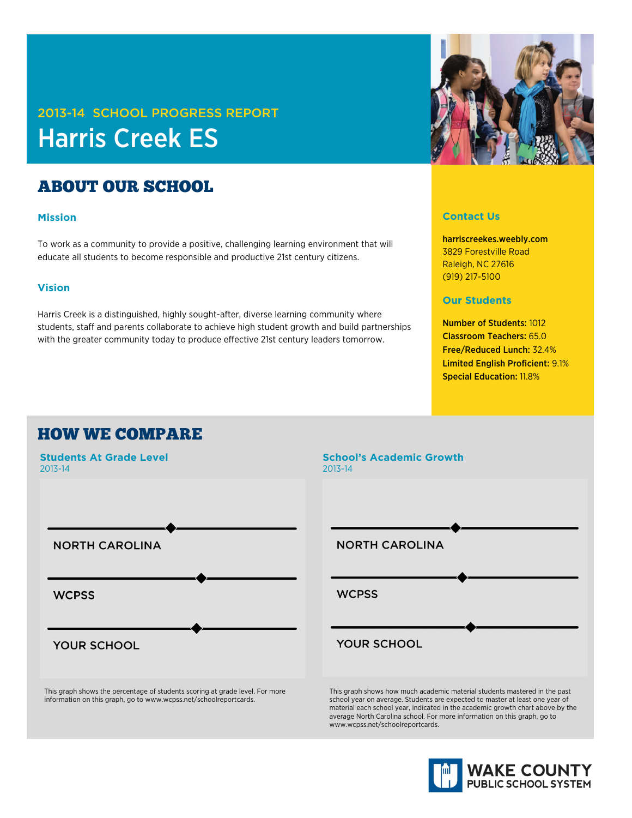# 2013-14 SCHOOL PROGRESS REPORT Harris Creek ES

# ABOUT OUR SCHOOL

### **Mission**

To work as a community to provide a positive, challenging learning environment that will educate all students to become responsible and productive 21st century citizens.

### **Vision**

Harris Creek is a distinguished, highly sought-after, diverse learning community where students, staff and parents collaborate to achieve high student growth and build partnerships with the greater community today to produce effective 21st century leaders tomorrow.

### **Contact Us**

harriscreekes.weebly.com 3829 Forestville Road Raleigh, NC 27616 (919) 217-5100

### **Our Students**

Number of Students: 1012 Classroom Teachers: 65.0 Free/Reduced Lunch: 32.4% Limited English Proficient: 9.1% Special Education: 11.8%

## HOW WE COMPARE



This graph shows the percentage of students scoring at grade level. For more information on this graph, go to www.wcpss.net/schoolreportcards.



school year on average. Students are expected to master at least one year of material each school year, indicated in the academic growth chart above by the average North Carolina school. For more information on this graph, go to www.wcpss.net/schoolreportcards.